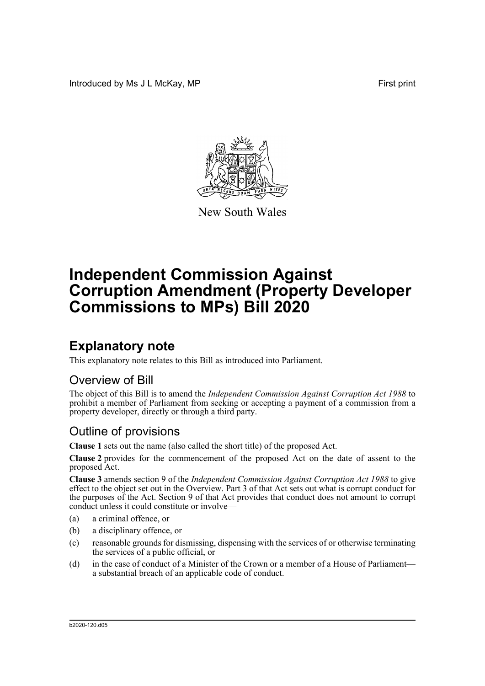Introduced by Ms J L McKay, MP **First** print



New South Wales

# **Independent Commission Against Corruption Amendment (Property Developer Commissions to MPs) Bill 2020**

## **Explanatory note**

This explanatory note relates to this Bill as introduced into Parliament.

#### Overview of Bill

The object of this Bill is to amend the *Independent Commission Against Corruption Act 1988* to prohibit a member of Parliament from seeking or accepting a payment of a commission from a property developer, directly or through a third party.

#### Outline of provisions

**Clause 1** sets out the name (also called the short title) of the proposed Act.

**Clause 2** provides for the commencement of the proposed Act on the date of assent to the proposed Act.

**Clause 3** amends section 9 of the *Independent Commission Against Corruption Act 1988* to give effect to the object set out in the Overview. Part 3 of that Act sets out what is corrupt conduct for the purposes of the Act. Section 9 of that Act provides that conduct does not amount to corrupt conduct unless it could constitute or involve—

- (a) a criminal offence, or
- (b) a disciplinary offence, or
- (c) reasonable grounds for dismissing, dispensing with the services of or otherwise terminating the services of a public official, or
- (d) in the case of conduct of a Minister of the Crown or a member of a House of Parliament a substantial breach of an applicable code of conduct.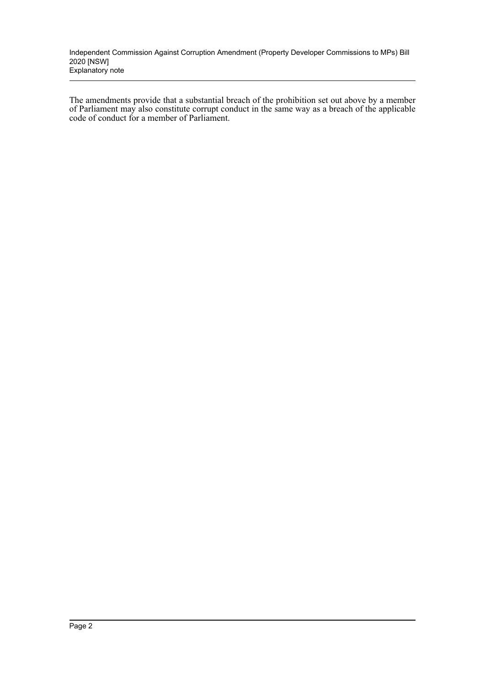Independent Commission Against Corruption Amendment (Property Developer Commissions to MPs) Bill 2020 [NSW] Explanatory note

The amendments provide that a substantial breach of the prohibition set out above by a member of Parliament may also constitute corrupt conduct in the same way as a breach of the applicable code of conduct for a member of Parliament.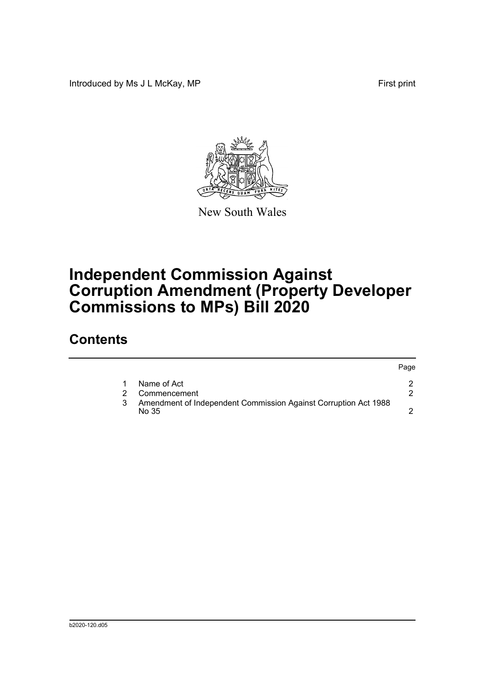Introduced by Ms J L McKay, MP **First** print



New South Wales

## **Independent Commission Against Corruption Amendment (Property Developer Commissions to MPs) Bill 2020**

### **Contents**

|                                                                          | Page |
|--------------------------------------------------------------------------|------|
| Name of Act                                                              |      |
| Commencement                                                             |      |
| Amendment of Independent Commission Against Corruption Act 1988<br>No 35 |      |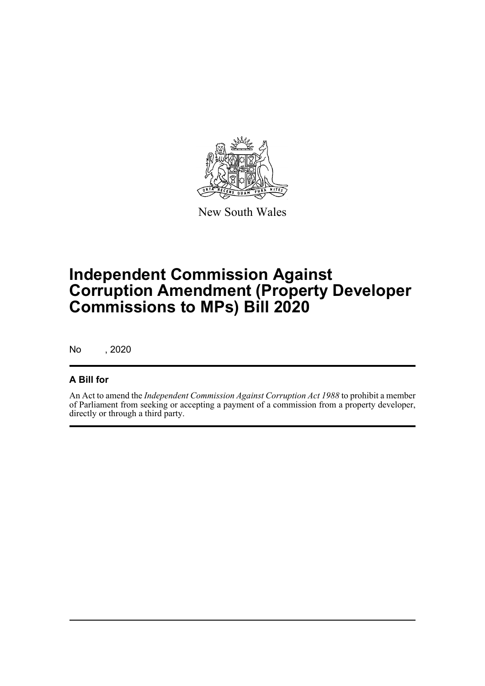

New South Wales

## **Independent Commission Against Corruption Amendment (Property Developer Commissions to MPs) Bill 2020**

No , 2020

#### **A Bill for**

An Act to amend the *Independent Commission Against Corruption Act 1988* to prohibit a member of Parliament from seeking or accepting a payment of a commission from a property developer, directly or through a third party.